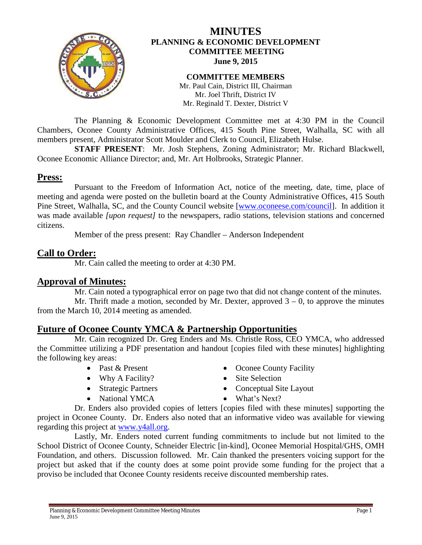

#### **MINUTES PLANNING & ECONOMIC DEVELOPMENT COMMITTEE MEETING June 9, 2015**

#### **COMMITTEE MEMBERS**

Mr. Paul Cain, District III, Chairman Mr. Joel Thrift, District IV Mr. Reginald T. Dexter, District V

The Planning & Economic Development Committee met at 4:30 PM in the Council Chambers, Oconee County Administrative Offices, 415 South Pine Street, Walhalla, SC with all members present, Administrator Scott Moulder and Clerk to Council, Elizabeth Hulse.

**STAFF PRESENT**: Mr. Josh Stephens, Zoning Administrator; Mr. Richard Blackwell, Oconee Economic Alliance Director; and, Mr. Art Holbrooks, Strategic Planner.

# **Press:**

Pursuant to the Freedom of Information Act, notice of the meeting, date, time, place of meeting and agenda were posted on the bulletin board at the County Administrative Offices, 415 South Pine Street, Walhalla, SC, and the County Council website [\[www.oconeese.com/council\]](http://www.oconeese.com/council). In addition it was made available *[upon request]* to the newspapers, radio stations, television stations and concerned citizens.

Member of the press present: Ray Chandler – Anderson Independent

**Call to Order:** Mr. Cain called the meeting to order at 4:30 PM.

## **Approval of Minutes:**

Mr. Cain noted a typographical error on page two that did not change content of the minutes.

Mr. Thrift made a motion, seconded by Mr. Dexter, approved  $3 - 0$ , to approve the minutes from the March 10, 2014 meeting as amended.

## **Future of Oconee County YMCA & Partnership Opportunities**

Mr. Cain recognized Dr. Greg Enders and Ms. Christle Ross, CEO YMCA, who addressed the Committee utilizing a PDF presentation and handout [copies filed with these minutes] highlighting the following key areas:

- Past & Present
- Why A Facility?
- Strategic Partners
- National YMCA
- Oconee County Facility
- Site Selection
- Conceptual Site Layout
- What's Next?

Dr. Enders also provided copies of letters [copies filed with these minutes] supporting the project in Oconee County. Dr. Enders also noted that an informative video was available for viewing regarding this project at [www.y4all.org.](http://www.y4all.org/)

Lastly, Mr. Enders noted current funding commitments to include but not limited to the School District of Oconee County, Schneider Electric [in-kind], Oconee Memorial Hospital/GHS, OMH Foundation, and others. Discussion followed. Mr. Cain thanked the presenters voicing support for the project but asked that if the county does at some point provide some funding for the project that a proviso be included that Oconee County residents receive discounted membership rates.